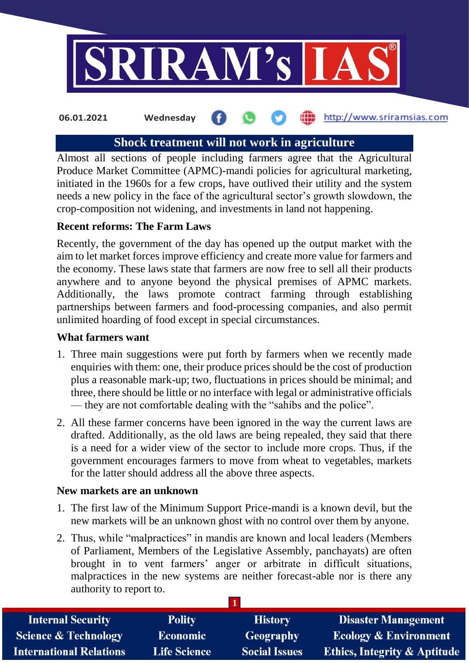

#### http://www.sriramsias.com **06.01.2021 Wednesday**

# **Shock treatment will not work in agriculture**

Almost all sections of people including farmers agree that the Agricultural Produce Market Committee (APMC)-mandi policies for agricultural marketing, initiated in the 1960s for a few crops, have outlived their utility and the system needs a new policy in the face of the agricultural sector's growth slowdown, the crop-composition not widening, and investments in land not happening.

# **Recent reforms: The Farm Laws**

Recently, the government of the day has opened up the output market with the aim to let market forces improve efficiency and create more value for farmers and the economy. These laws state that farmers are now free to sell all their products anywhere and to anyone beyond the physical premises of APMC markets. Additionally, the laws promote contract farming through establishing partnerships between farmers and food-processing companies, and also permit unlimited hoarding of food except in special circumstances.

## **What farmers want**

- 1. Three main suggestions were put forth by farmers when we recently made enquiries with them: one, their produce prices should be the cost of production plus a reasonable mark-up; two, fluctuations in prices should be minimal; and three, there should be little or no interface with legal or administrative officials — they are not comfortable dealing with the "sahibs and the police".
- 2. All these farmer concerns have been ignored in the way the current laws are drafted. Additionally, as the old laws are being repealed, they said that there is a need for a wider view of the sector to include more crops. Thus, if the government encourages farmers to move from wheat to vegetables, markets for the latter should address all the above three aspects.

# **New markets are an unknown**

- 1. The first law of the Minimum Support Price-mandi is a known devil, but the new markets will be an unknown ghost with no control over them by anyone.
- 2. Thus, while "malpractices" in mandis are known and local leaders (Members of Parliament, Members of the Legislative Assembly, panchayats) are often brought in to vent farmers' anger or arbitrate in difficult situations, malpractices in the new systems are neither forecast-able nor is there any authority to report to.

| <b>Internal Security</b>        | <b>Polity</b>       | <b>History</b>       | <b>Disaster Management</b>              |
|---------------------------------|---------------------|----------------------|-----------------------------------------|
| <b>Science &amp; Technology</b> | <b>Economic</b>     | Geography            | <b>Ecology &amp; Environment</b>        |
| <b>International Relations</b>  | <b>Life Science</b> | <b>Social Issues</b> | <b>Ethics, Integrity &amp; Aptitude</b> |

**1**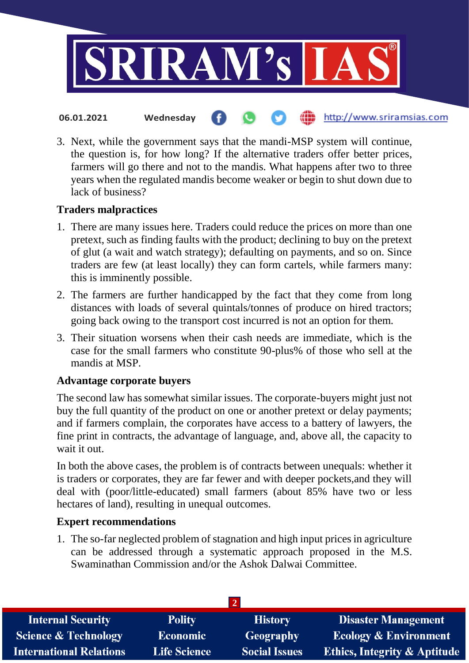

3. Next, while the government says that the mandi-MSP system will continue, the question is, for how long? If the alternative traders offer better prices, farmers will go there and not to the mandis. What happens after two to three years when the regulated mandis become weaker or begin to shut down due to lack of business?

# **Traders malpractices**

- 1. There are many issues here. Traders could reduce the prices on more than one pretext, such as finding faults with the product; declining to buy on the pretext of glut (a wait and watch strategy); defaulting on payments, and so on. Since traders are few (at least locally) they can form cartels, while farmers many: this is imminently possible.
- 2. The farmers are further handicapped by the fact that they come from long distances with loads of several quintals/tonnes of produce on hired tractors; going back owing to the transport cost incurred is not an option for them.
- 3. Their situation worsens when their cash needs are immediate, which is the case for the small farmers who constitute 90-plus% of those who sell at the mandis at MSP.

# **Advantage corporate buyers**

The second law has somewhat similar issues. The corporate-buyers might just not buy the full quantity of the product on one or another pretext or delay payments; and if farmers complain, the corporates have access to a battery of lawyers, the fine print in contracts, the advantage of language, and, above all, the capacity to wait it out.

In both the above cases, the problem is of contracts between unequals: whether it is traders or corporates, they are far fewer and with deeper pockets,and they will deal with (poor/little-educated) small farmers (about 85% have two or less hectares of land), resulting in unequal outcomes.

# **Expert recommendations**

1. The so-far neglected problem of stagnation and high input prices in agriculture can be addressed through a systematic approach proposed in the M.S. Swaminathan Commission and/or the Ashok Dalwai Committee.

| <b>Internal Security</b>        | <b>Polity</b>       | <b>History</b>       | <b>Disaster Management</b>              |
|---------------------------------|---------------------|----------------------|-----------------------------------------|
| <b>Science &amp; Technology</b> | Economic            | <b>Geography</b>     | <b>Ecology &amp; Environment</b>        |
| <b>International Relations</b>  | <b>Life Science</b> | <b>Social Issues</b> | <b>Ethics, Integrity &amp; Aptitude</b> |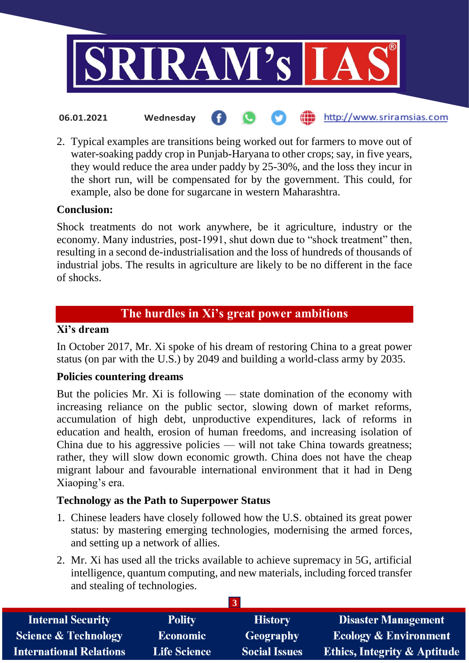

2. Typical examples are transitions being worked out for farmers to move out of water-soaking paddy crop in Punjab-Haryana to other crops; say, in five years, they would reduce the area under paddy by 25-30%, and the loss they incur in the short run, will be compensated for by the government. This could, for example, also be done for sugarcane in western Maharashtra.

# **Conclusion:**

Shock treatments do not work anywhere, be it agriculture, industry or the economy. Many industries, post-1991, shut down due to "shock treatment" then, resulting in a second de-industrialisation and the loss of hundreds of thousands of industrial jobs. The results in agriculture are likely to be no different in the face of shocks.

# **The hurdles in Xi's great power ambitions**

# **Xi's dream**

In October 2017, Mr. Xi spoke of his dream of restoring China to a great power status (on par with the U.S.) by 2049 and building a world-class army by 2035.

# **Policies countering dreams**

But the policies Mr. Xi is following — state domination of the economy with increasing reliance on the public sector, slowing down of market reforms, accumulation of high debt, unproductive expenditures, lack of reforms in education and health, erosion of human freedoms, and increasing isolation of China due to his aggressive policies — will not take China towards greatness; rather, they will slow down economic growth. China does not have the cheap migrant labour and favourable international environment that it had in Deng Xiaoping's era.

# **Technology as the Path to Superpower Status**

- 1. Chinese leaders have closely followed how the U.S. obtained its great power status: by mastering emerging technologies, modernising the armed forces, and setting up a network of allies.
- 2. Mr. Xi has used all the tricks available to achieve supremacy in 5G, artificial intelligence, quantum computing, and new materials, including forced transfer and stealing of technologies.

| <b>Internal Security</b>        | <b>Polity</b>       | <b>History</b>       | <b>Disaster Management</b>              |  |
|---------------------------------|---------------------|----------------------|-----------------------------------------|--|
| <b>Science &amp; Technology</b> | <b>Economic</b>     | Geography            | <b>Ecology &amp; Environment</b>        |  |
| <b>International Relations</b>  | <b>Life Science</b> | <b>Social Issues</b> | <b>Ethics, Integrity &amp; Aptitude</b> |  |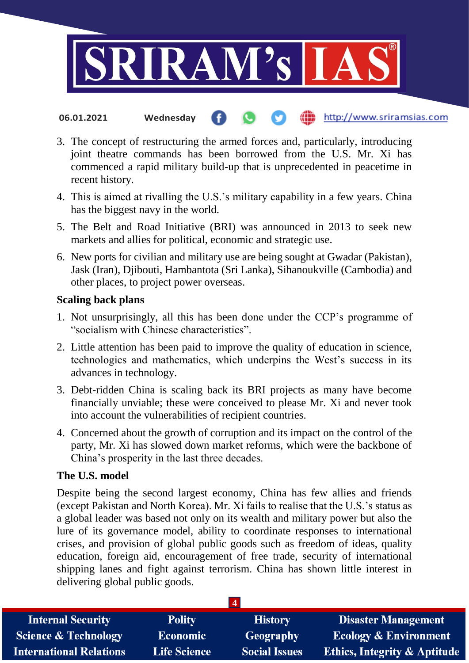

- http://www.sriramsias.com **06.01.2021 Wednesday**
- 3. The concept of restructuring the armed forces and, particularly, introducing joint theatre commands has been borrowed from the U.S. Mr. Xi has commenced a rapid military build-up that is unprecedented in peacetime in recent history.
- 4. This is aimed at rivalling the U.S.'s military capability in a few years. China has the biggest navy in the world.
- 5. The Belt and Road Initiative (BRI) was announced in 2013 to seek new markets and allies for political, economic and strategic use.
- 6. New ports for civilian and military use are being sought at Gwadar (Pakistan), Jask (Iran), Djibouti, Hambantota (Sri Lanka), Sihanoukville (Cambodia) and other places, to project power overseas.

### **Scaling back plans**

- 1. Not unsurprisingly, all this has been done under the CCP's programme of "socialism with Chinese characteristics".
- 2. Little attention has been paid to improve the quality of education in science, technologies and mathematics, which underpins the West's success in its advances in technology.
- 3. Debt-ridden China is scaling back its BRI projects as many have become financially unviable; these were conceived to please Mr. Xi and never took into account the vulnerabilities of recipient countries.
- 4. Concerned about the growth of corruption and its impact on the control of the party, Mr. Xi has slowed down market reforms, which were the backbone of China's prosperity in the last three decades.

### **The U.S. model**

Despite being the second largest economy, China has few allies and friends (except Pakistan and North Korea). Mr. Xi fails to realise that the U.S.'s status as a global leader was based not only on its wealth and military power but also the lure of its governance model, ability to coordinate responses to international crises, and provision of global public goods such as freedom of ideas, quality education, foreign aid, encouragement of free trade, security of international shipping lanes and fight against terrorism. China has shown little interest in delivering global public goods.

| -4                              |                     |                      |                                         |  |
|---------------------------------|---------------------|----------------------|-----------------------------------------|--|
| <b>Internal Security</b>        | <b>Polity</b>       | <b>History</b>       | <b>Disaster Management</b>              |  |
| <b>Science &amp; Technology</b> | <b>Economic</b>     | Geography            | <b>Ecology &amp; Environment</b>        |  |
| <b>International Relations</b>  | <b>Life Science</b> | <b>Social Issues</b> | <b>Ethics, Integrity &amp; Aptitude</b> |  |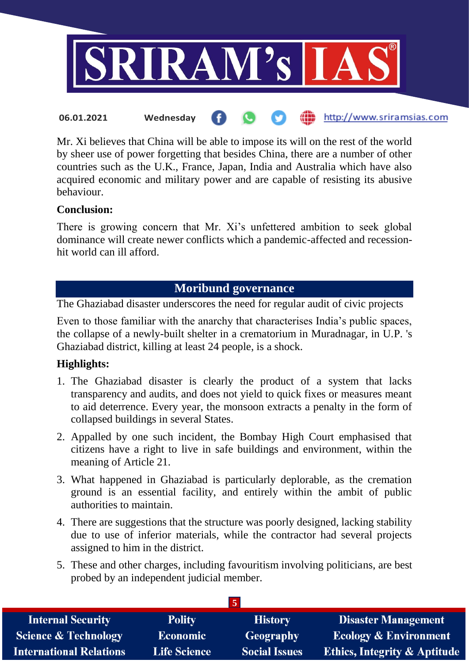

Mr. Xi believes that China will be able to impose its will on the rest of the world by sheer use of power forgetting that besides China, there are a number of other countries such as the U.K., France, Japan, India and Australia which have also acquired economic and military power and are capable of resisting its abusive

# **Conclusion:**

behaviour.

There is growing concern that Mr. Xi's unfettered ambition to seek global dominance will create newer conflicts which a pandemic-affected and recessionhit world can ill afford.

# **Moribund governance**

The Ghaziabad disaster underscores the need for regular audit of civic projects

Even to those familiar with the anarchy that characterises India's public spaces, the collapse of a newly-built shelter in a crematorium in Muradnagar, in U.P. 's Ghaziabad district, killing at least 24 people, is a shock.

# **Highlights:**

- 1. The Ghaziabad disaster is clearly the product of a system that lacks transparency and audits, and does not yield to quick fixes or measures meant to aid deterrence. Every year, the monsoon extracts a penalty in the form of collapsed buildings in several States.
- 2. Appalled by one such incident, the Bombay High Court emphasised that citizens have a right to live in safe buildings and environment, within the meaning of Article 21.
- 3. What happened in Ghaziabad is particularly deplorable, as the cremation ground is an essential facility, and entirely within the ambit of public authorities to maintain.
- 4. There are suggestions that the structure was poorly designed, lacking stability due to use of inferior materials, while the contractor had several projects assigned to him in the district.
- 5. These and other charges, including favouritism involving politicians, are best probed by an independent judicial member.

| <b>Internal Security</b>        | <b>Polity</b>       | <b>History</b>       | <b>Disaster Management</b>              |
|---------------------------------|---------------------|----------------------|-----------------------------------------|
| <b>Science &amp; Technology</b> | <b>Economic</b>     | Geography            | <b>Ecology &amp; Environment</b>        |
| <b>International Relations</b>  | <b>Life Science</b> | <b>Social Issues</b> | <b>Ethics, Integrity &amp; Aptitude</b> |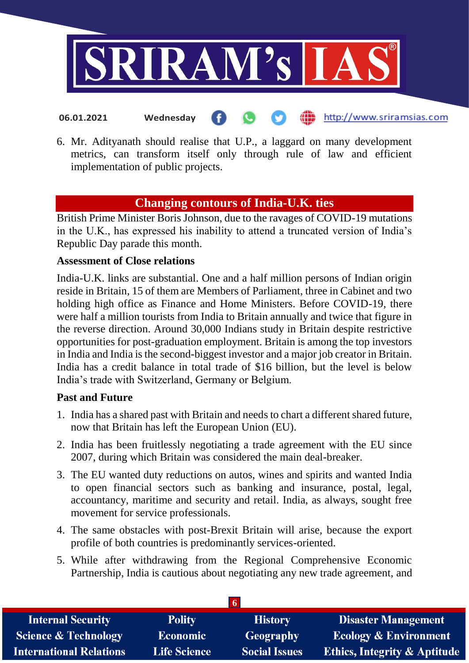

**06.01.2021 Wednesday**

- http://www.sriramsias.com
- 6. Mr. Adityanath should realise that U.P., a laggard on many development metrics, can transform itself only through rule of law and efficient implementation of public projects.

# **Changing contours of India-U.K. ties**

British Prime Minister Boris Johnson, due to the ravages of COVID-19 mutations in the U.K., has expressed his inability to attend a truncated version of India's Republic Day parade this month.

# **Assessment of Close relations**

India-U.K. links are substantial. One and a half million persons of Indian origin reside in Britain, 15 of them are Members of Parliament, three in Cabinet and two holding high office as Finance and Home Ministers. Before COVID-19, there were half a million tourists from India to Britain annually and twice that figure in the reverse direction. Around 30,000 Indians study in Britain despite restrictive opportunities for post-graduation employment. Britain is among the top investors in India and India is the second-biggest investor and a major job creator in Britain. India has a credit balance in total trade of \$16 billion, but the level is below India's trade with Switzerland, Germany or Belgium.

# **Past and Future**

- 1. India has a shared past with Britain and needs to chart a different shared future, now that Britain has left the European Union (EU).
- 2. India has been fruitlessly negotiating a trade agreement with the EU since 2007, during which Britain was considered the main deal-breaker.
- 3. The EU wanted duty reductions on autos, wines and spirits and wanted India to open financial sectors such as banking and insurance, postal, legal, accountancy, maritime and security and retail. India, as always, sought free movement for service professionals.
- 4. The same obstacles with post-Brexit Britain will arise, because the export profile of both countries is predominantly services-oriented.
- 5. While after withdrawing from the Regional Comprehensive Economic Partnership, India is cautious about negotiating any new trade agreement, and

| -6                              |                     |                      |                                         |  |
|---------------------------------|---------------------|----------------------|-----------------------------------------|--|
| <b>Internal Security</b>        | <b>Polity</b>       | <b>History</b>       | <b>Disaster Management</b>              |  |
| <b>Science &amp; Technology</b> | <b>Economic</b>     | Geography            | <b>Ecology &amp; Environment</b>        |  |
| <b>International Relations</b>  | <b>Life Science</b> | <b>Social Issues</b> | <b>Ethics, Integrity &amp; Aptitude</b> |  |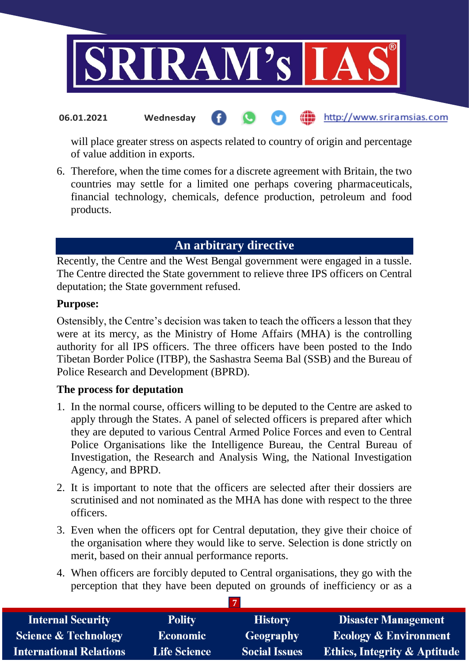

#### http://www.sriramsias.com **06.01.2021 Wednesday**

will place greater stress on aspects related to country of origin and percentage of value addition in exports.

6. Therefore, when the time comes for a discrete agreement with Britain, the two countries may settle for a limited one perhaps covering pharmaceuticals, financial technology, chemicals, defence production, petroleum and food products.

# **An arbitrary directive**

Recently, the Centre and the West Bengal government were engaged in a tussle. The Centre directed the State government to relieve three IPS officers on Central deputation; the State government refused.

### **Purpose:**

Ostensibly, the Centre's decision was taken to teach the officers a lesson that they were at its mercy, as the Ministry of Home Affairs (MHA) is the controlling authority for all IPS officers. The three officers have been posted to the Indo Tibetan Border Police (ITBP), the Sashastra Seema Bal (SSB) and the Bureau of Police Research and Development (BPRD).

# **The process for deputation**

- 1. In the normal course, officers willing to be deputed to the Centre are asked to apply through the States. A panel of selected officers is prepared after which they are deputed to various Central Armed Police Forces and even to Central Police Organisations like the Intelligence Bureau, the Central Bureau of Investigation, the Research and Analysis Wing, the National Investigation Agency, and BPRD.
- 2. It is important to note that the officers are selected after their dossiers are scrutinised and not nominated as the MHA has done with respect to the three officers.
- 3. Even when the officers opt for Central deputation, they give their choice of the organisation where they would like to serve. Selection is done strictly on merit, based on their annual performance reports.
- 4. When officers are forcibly deputed to Central organisations, they go with the perception that they have been deputed on grounds of inefficiency or as a

**7**

| <b>Internal Security</b>        | <b>Polity</b>       | <b>History</b>       | <b>Disaster Management</b>              |  |
|---------------------------------|---------------------|----------------------|-----------------------------------------|--|
| <b>Science &amp; Technology</b> | <b>Economic</b>     | Geography            | <b>Ecology &amp; Environment</b>        |  |
| <b>International Relations</b>  | <b>Life Science</b> | <b>Social Issues</b> | <b>Ethics, Integrity &amp; Aptitude</b> |  |